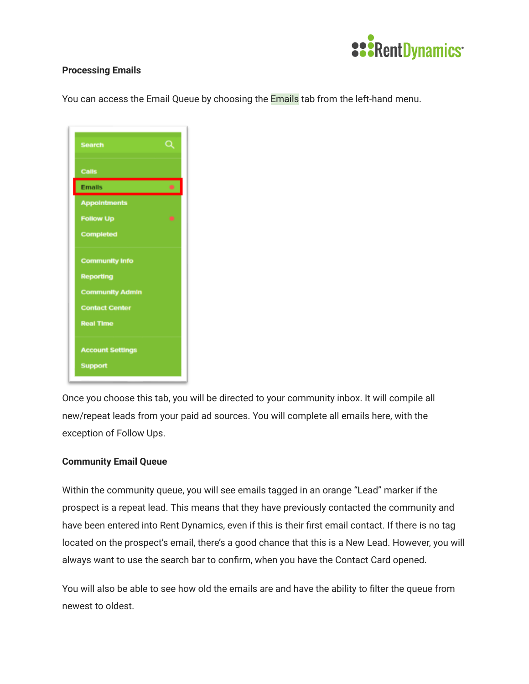

## **Processing Emails**

You can access the Email Queue by choosing the **Emails** tab from the left-hand menu.

| <b>Search</b>           | Q |
|-------------------------|---|
| <b>Calls</b>            |   |
| <b>Emails</b>           | ۰ |
| <b>Appointments</b>     |   |
| <b>Follow Up</b>        |   |
| <b>Completed</b>        |   |
| <b>Community Info</b>   |   |
| <b>Reporting</b>        |   |
| <b>Community Admin</b>  |   |
| <b>Contact Center</b>   |   |
| <b>Real Time</b>        |   |
| <b>Account Settings</b> |   |
| <b>Support</b>          |   |

Once you choose this tab, you will be directed to your community inbox. It will compile all new/repeat leads from your paid ad sources. You will complete all emails here, with the exception of Follow Ups.

## **Community Email Queue**

Within the community queue, you will see emails tagged in an orange "Lead" marker if the prospect is a repeat lead. This means that they have previously contacted the community and have been entered into Rent Dynamics, even if this is their first email contact. If there is no tag located on the prospect's email, there's a good chance that this is a New Lead. However, you will always want to use the search bar to confirm, when you have the Contact Card opened.

You will also be able to see how old the emails are and have the ability to filter the queue from newest to oldest.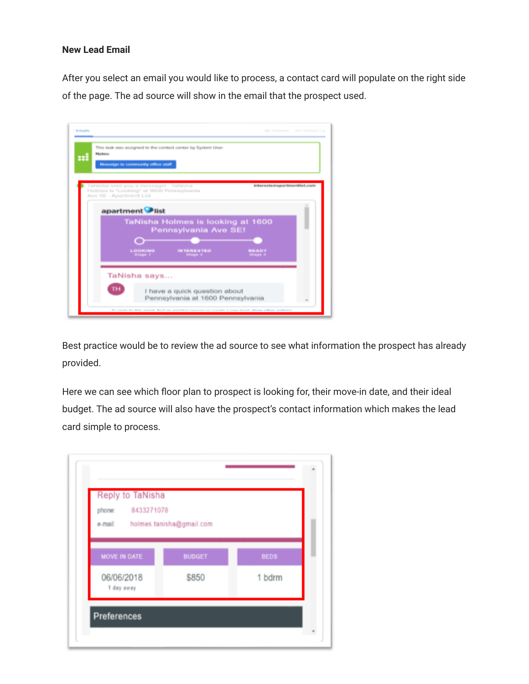## **New Lead Email**

After you select an email you would like to process, a contact card will populate on the right side of the page. The ad source will show in the email that the prospect used.



Best practice would be to review the ad source to see what information the prospect has already provided.

Here we can see which floor plan to prospect is looking for, their move-in date, and their ideal budget. The ad source will also have the prospect's contact information which makes the lead card simple to process.

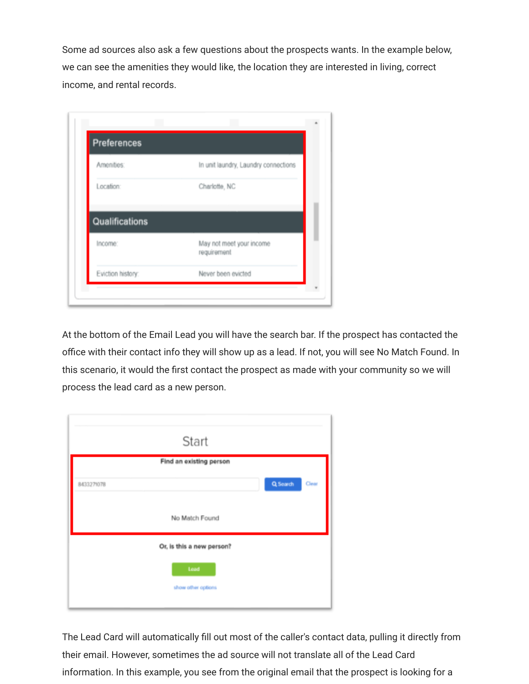Some ad sources also ask a few questions about the prospects wants. In the example below, we can see the amenities they would like, the location they are interested in living, correct income, and rental records.

| <b>Preferences</b> |                                         |
|--------------------|-----------------------------------------|
| Amenities:         | In unit laundry, Laundry connections    |
| Location:          | Charlotte, NC                           |
|                    |                                         |
| Qualifications     |                                         |
| Income:            | May not meet your income<br>requirement |
|                    |                                         |

At the bottom of the Email Lead you will have the search bar. If the prospect has contacted the office with their contact info they will show up as a lead. If not, you will see No Match Found. In this scenario, it would the first contact the prospect as made with your community so we will process the lead card as a new person.

|            | Start                     |                   |
|------------|---------------------------|-------------------|
|            | Find an existing person   |                   |
| 8433271078 |                           | Q Search<br>Clear |
|            | No Match Found            |                   |
|            | Or, is this a new person? |                   |
|            | Lead                      |                   |
|            | show other options        |                   |
|            |                           |                   |

The Lead Card will automatically fill out most of the caller's contact data, pulling it directly from their email. However, sometimes the ad source will not translate all of the Lead Card information. In this example, you see from the original email that the prospect is looking for a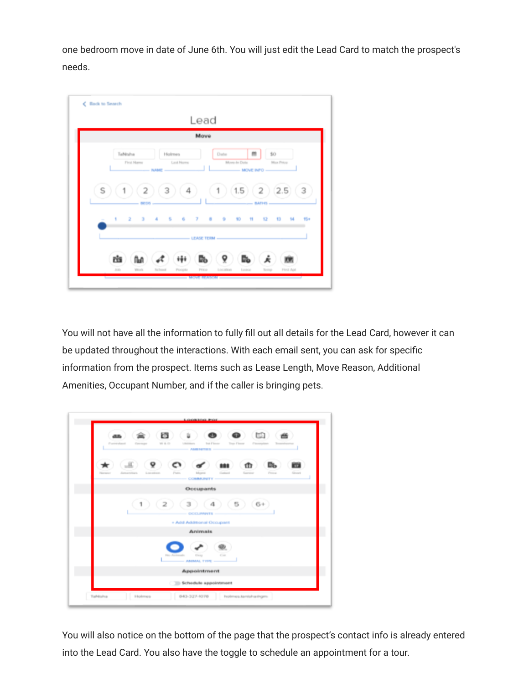one bedroom move in date of June 6th. You will just edit the Lead Card to match the prospect's needs.



You will not have all the information to fully fill out all details for the Lead Card, however it can be updated throughout the interactions. With each email sent, you can ask for specific information from the prospect. Items such as Lease Length, Move Reason, Additional Amenities, Occupant Number, and if the caller is bringing pets.



You will also notice on the bottom of the page that the prospect's contact info is already entered into the Lead Card. You also have the toggle to schedule an appointment for a tour.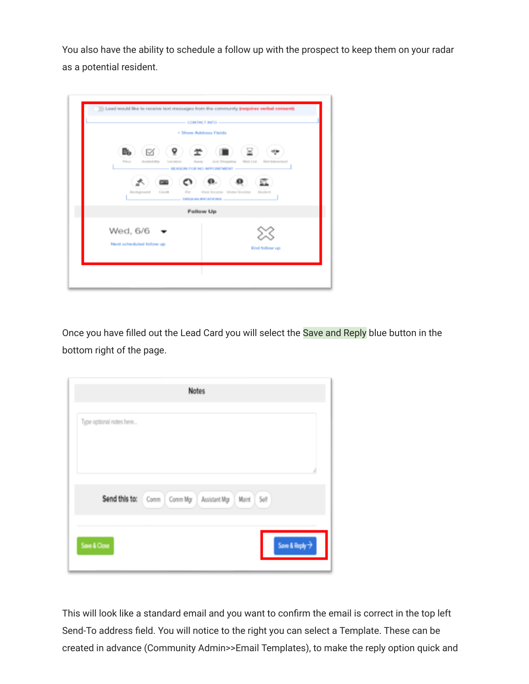You also have the ability to schedule a follow up with the prospect to keep them on your radar as a potential resident.

|             |                          |            |     | + Show Address Fields |                                                     |           |                      |  |
|-------------|--------------------------|------------|-----|-----------------------|-----------------------------------------------------|-----------|----------------------|--|
| B.<br>Price | ☑                        | Learnships | 9.  | Assets                | <b>Just Shopping</b><br>REASON FOR NO APPOINTMENT - | Wait List | <b>FAIR STR</b>      |  |
|             | Brickground              | Crester    | Pot | DINGAMLIPICATIONS     | Over Income Under Income                            |           |                      |  |
|             |                          |            |     | <b>Follow Up</b>      |                                                     |           |                      |  |
| Wed, 6/6    | Next scheduled follow up |            |     |                       |                                                     |           | <b>End follow up</b> |  |

Once you have filled out the Lead Card you will select the Save and Reply blue button in the bottom right of the page.

| Type optional notes here |                                                              |  |  |  |
|--------------------------|--------------------------------------------------------------|--|--|--|
|                          |                                                              |  |  |  |
|                          |                                                              |  |  |  |
|                          | Send this to: Comm   Comm Mgr   Assistant Mgr   Maint   Self |  |  |  |
|                          |                                                              |  |  |  |

This will look like a standard email and you want to confirm the email is correct in the top left Send-To address field. You will notice to the right you can select a Template. These can be created in advance (Community Admin>>Email Templates), to make the reply option quick and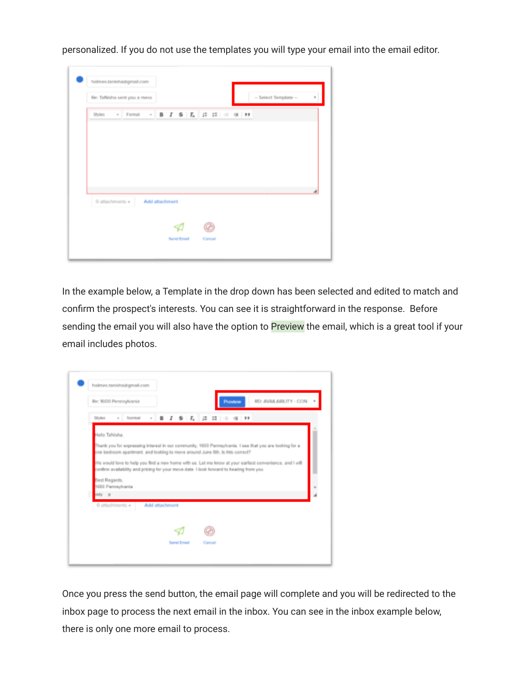personalized. If you do not use the templates you will type your email into the email editor.

| Re: TaNisha sent you a mess                                                                                                                                                                                                                                                                                                                                                                                                                                                         |                |  |  | - Select Template -- |  |
|-------------------------------------------------------------------------------------------------------------------------------------------------------------------------------------------------------------------------------------------------------------------------------------------------------------------------------------------------------------------------------------------------------------------------------------------------------------------------------------|----------------|--|--|----------------------|--|
| $\text{50} \text{ is} \qquad \text{--} \qquad \text{Format} \qquad \text{--} \qquad \text{--} \qquad \text{--} \qquad \text{--} \qquad \text{--} \qquad \text{--} \qquad \text{--} \qquad \text{--} \qquad \text{--} \qquad \text{--} \qquad \text{--} \qquad \text{--} \qquad \text{--} \qquad \text{--} \qquad \text{--} \qquad \text{--} \qquad \text{--} \qquad \text{--} \qquad \text{--} \qquad \text{--} \qquad \text{--} \qquad \text{--} \qquad \text{--} \qquad \text{--$ |                |  |  |                      |  |
|                                                                                                                                                                                                                                                                                                                                                                                                                                                                                     |                |  |  |                      |  |
|                                                                                                                                                                                                                                                                                                                                                                                                                                                                                     |                |  |  |                      |  |
|                                                                                                                                                                                                                                                                                                                                                                                                                                                                                     |                |  |  |                      |  |
|                                                                                                                                                                                                                                                                                                                                                                                                                                                                                     |                |  |  |                      |  |
| O attachments v                                                                                                                                                                                                                                                                                                                                                                                                                                                                     | Add attachment |  |  |                      |  |
|                                                                                                                                                                                                                                                                                                                                                                                                                                                                                     | 8              |  |  |                      |  |
|                                                                                                                                                                                                                                                                                                                                                                                                                                                                                     |                |  |  |                      |  |

In the example below, a Template in the drop down has been selected and edited to match and confirm the prospect's interests. You can see it is straightforward in the response. Before sending the email you will also have the option to Preview the email, which is a great tool if your email includes photos.



Once you press the send button, the email page will complete and you will be redirected to the inbox page to process the next email in the inbox. You can see in the inbox example below, there is only one more email to process.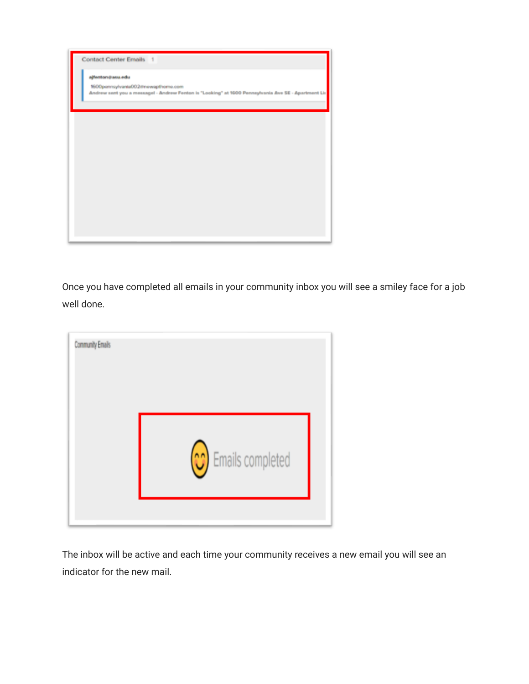

Once you have completed all emails in your community inbox you will see a smiley face for a job well done.

| Community Emails |                  |
|------------------|------------------|
|                  | Emails completed |
|                  |                  |

The inbox will be active and each time your community receives a new email you will see an indicator for the new mail.